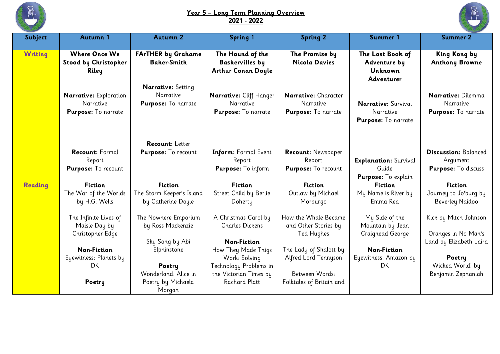

## **Year 5 – Long Term Planning Overview 2021 - 2022**



| Subject        | Autumn 1                                                   | <b>Autumn 2</b>                                               | <b>Spring 1</b>                                                         | <b>Spring 2</b>                                            | Summer 1                                                              | <b>Summer 2</b>                                                |
|----------------|------------------------------------------------------------|---------------------------------------------------------------|-------------------------------------------------------------------------|------------------------------------------------------------|-----------------------------------------------------------------------|----------------------------------------------------------------|
| <b>Writing</b> | <b>Where Once We</b><br>Stood by Christopher<br>Riley      | <b>FArTHER by Grahame</b><br><b>Baker-Smith</b>               | The Hound of the<br><b>Baskervilles by</b><br><b>Arthur Conan Doyle</b> | The Promise by<br>Nicola Davies                            | The Lost Book of<br>Adventure by<br>Unknown<br>Adventurer             | <b>King Kong by</b><br><b>Anthony Browne</b>                   |
|                | Narrative: Exploration<br>Narrative<br>Purpose: To narrate | <b>Narrative:</b> Setting<br>Narrative<br>Purpose: To narrate | Narrative: Cliff Hanger<br>Narrative<br>Purpose: To narrate             | Narrative: Character<br>Narrative<br>Purpose: To narrate   | <b>Narrative:</b> Survival<br>Narrative<br><b>Purpose:</b> To narrate | Narrative: Dilemma<br>Narrative<br>Purpose: To narrate         |
|                | <b>Recount: Formal</b><br>Report<br>Purpose: To recount    | Recount: Letter<br>Purpose: To recount                        | Inform: Formal Event<br>Report<br>Purpose: To inform                    | <b>Recount: Newspaper</b><br>Report<br>Purpose: To recount | <b>Explanation: Survival</b><br>Guide<br><b>Purpose:</b> To explain   | <b>Discussion: Balanced</b><br>Argument<br>Purpose: To discuss |
| Reading        | <b>Fiction</b>                                             | <b>Fiction</b>                                                | <b>Fiction</b>                                                          | <b>Fiction</b>                                             | <b>Fiction</b>                                                        | <b>Fiction</b>                                                 |
|                | The War of the Worlds<br>by H.G. Wells                     | The Storm Keeper's Island<br>by Catherine Doyle               | Street Child by Berlie<br>Doherty                                       | Outlaw by Michael<br>Morpurgo                              | My Name is River by<br>Emma Rea                                       | Journey to Jo'burg by<br>Beverley Naidoo                       |
|                | The Infinite Lives of<br>Maisie Day by<br>Christopher Edge | The Nowhere Emporium<br>by Ross Mackenzie                     | A Christmas Carol by<br><b>Charles Dickens</b>                          | How the Whale Became<br>and Other Stories by<br>Ted Hughes | My Side of the<br>Mountain by Jean<br>Craighead George                | Kick by Mitch Johnson<br>Oranges in No Man's                   |
|                |                                                            | Sky Song by Abi                                               | <b>Non-Fiction</b>                                                      |                                                            |                                                                       | Land by Elizabeth Laird                                        |
|                | <b>Non-Fiction</b><br>Eyewitness: Planets by               | Elphinstone                                                   | How They Made Thigs<br>Work: Solving                                    | The Lady of Shalott by<br>Alfred Lord Tennyson             | <b>Non-Fiction</b><br>Eyewitness: Amazon by                           | Poetry                                                         |
|                | DK                                                         | Poetry<br>Wonderland: Alice in                                | Technology Problems in<br>the Victorian Times by                        | Between Words:                                             | <b>DK</b>                                                             | Wicked World! by<br>Benjamin Zephaniah                         |
|                | Poetry                                                     | Poetry by Michaela<br>Morgan                                  | <b>Rachard Platt</b>                                                    | Folktales of Britain and                                   |                                                                       |                                                                |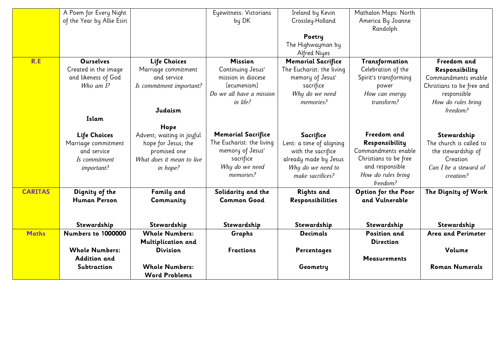|                | A Poem for Every Night     |                           | Eyewitness: Victorians    | Ireland by Kevin          | Mathalon Maps: North  |                           |
|----------------|----------------------------|---------------------------|---------------------------|---------------------------|-----------------------|---------------------------|
|                | of the Year by Allie Esiri |                           | by DK                     | Crossley-Holland          | America By Joanne     |                           |
|                |                            |                           |                           |                           | Randolph              |                           |
|                |                            |                           |                           | Poetry                    |                       |                           |
|                |                            |                           |                           | The Highwayman by         |                       |                           |
|                |                            |                           |                           | Alfred Niyes              |                       |                           |
| R.E            | <b>Ourselves</b>           | <b>Life Choices</b>       | <b>Mission</b>            | <b>Memorial Sacrifice</b> | Transformation        | Freedom and               |
|                | Created in the image       | Marriage commitment       | Continuing Jesus'         | The Eucharist: the living | Celebration of the    | Responsibility            |
|                | and likeness of God        | and service               | mission in diocese        | memory of Jesus'          | Spirit's transforming | Commandments enable       |
|                | Who am $I$ ?               | Is commitment important?  | [ecumenism]               | sacrifice                 | power                 | Christians to be free and |
|                |                            |                           | Do we all have a mission  | Why do we need            | How can energy        | responsible               |
|                |                            |                           | in life?                  | memories?                 | transform?            | How do rules bring        |
|                |                            | Judaism                   |                           |                           |                       | freedom?                  |
|                | Islam                      |                           |                           |                           |                       |                           |
|                |                            | Hope                      |                           |                           |                       |                           |
|                | <b>Life Choices</b>        | Advent; waiting in joyful | <b>Memorial Sacrifice</b> | Sacrifice                 | Freedom and           | Stewardship               |
|                | Marriage commitment        | hope for Jesus; the       | The Eucharist: the living | Lent: a time of aligning  | Responsibility        | The church is called to   |
|                | and service                | promised one              | memory of Jesus'          | with the sacrifice        | Commandments enable   | the stewardship of        |
|                | Is commitment              | What does it mean to live | sacrifice                 | already made by Jesus     | Christians to be free | Creation                  |
|                | important?                 | in hope?                  | Why do we need            | Why do we need to         | and responsible       | Can I be a steward of     |
|                |                            |                           | memories?                 | make sacrifices?          | How do rules bring    | creation?                 |
|                |                            |                           |                           |                           | freedom?              |                           |
| <b>CARITAS</b> | Dignity of the             | <b>Family and</b>         | Solidarity and the        | <b>Rights and</b>         | Option for the Poor   | The Dignity of Work       |
|                | <b>Human Person</b>        | Community                 | <b>Common Good</b>        | Responsibilities          | and Vulnerable        |                           |
|                |                            |                           |                           |                           |                       |                           |
|                |                            |                           |                           |                           |                       |                           |
|                | Stewardship                | Stewardship               | Stewardship               | Stewardship               | Stewardship           | Stewardship               |
| <b>Maths</b>   | Numbers to 1000000         | <b>Whole Numbers:</b>     | Graphs                    | <b>Decimals</b>           | <b>Position and</b>   | <b>Area and Perimeter</b> |
|                |                            | Multiplication and        |                           |                           | <b>Direction</b>      |                           |
|                | <b>Whole Numbers:</b>      | <b>Division</b>           | <b>Fractions</b>          | Percentages               |                       | Volume                    |
|                | <b>Addition and</b>        |                           |                           |                           | <b>Measurements</b>   |                           |
|                | Subtraction                | <b>Whole Numbers:</b>     |                           | Geometry                  |                       | <b>Roman Numerals</b>     |
|                |                            | <b>Word Problems</b>      |                           |                           |                       |                           |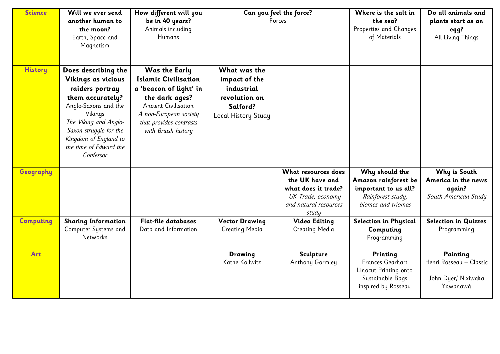| <b>Science</b>   | Will we ever send<br>another human to<br>the moon?<br>Earth, Space and<br>Magnetism                                                                                                                                                    | How different will you<br>be in 40 years?<br>Animals including<br>Humans                                                                                                                                    | Can you feel the force?<br>Forces                                                               |                                                                                                                      | Where is the salt in<br>the sea?<br>Properties and Changes<br>of Materials                                | Do all animals and<br>plants start as an<br>egg?<br>All Living Things  |
|------------------|----------------------------------------------------------------------------------------------------------------------------------------------------------------------------------------------------------------------------------------|-------------------------------------------------------------------------------------------------------------------------------------------------------------------------------------------------------------|-------------------------------------------------------------------------------------------------|----------------------------------------------------------------------------------------------------------------------|-----------------------------------------------------------------------------------------------------------|------------------------------------------------------------------------|
| <b>History</b>   | Does describing the<br>Vikings as vicious<br>raiders portray<br>them accurately?<br>Anglo-Saxons and the<br>Vikings<br>The Viking and Anglo-<br>Saxon struggle for the<br>Kingdom of England to<br>the time of Edward the<br>Confessor | <b>Was the Early</b><br><b>Islamic Civilisation</b><br>a 'beacon of light' in<br>the dark ages?<br><b>Ancient Civilisation</b><br>A non-European society<br>that provides contrasts<br>with British history | What was the<br>impact of the<br>industrial<br>revolution on<br>Salford?<br>Local History Study |                                                                                                                      |                                                                                                           |                                                                        |
| Geography        |                                                                                                                                                                                                                                        |                                                                                                                                                                                                             |                                                                                                 | What resources does<br>the UK have and<br>what does it trade?<br>UK Trade, economy<br>and natural resources<br>study | Why should the<br>Amazon rainforest be<br>important to us all?<br>Rainforest study,<br>biomes and triomes | Why is South<br>America in the news<br>again?<br>South American Study  |
| <b>Computing</b> | <b>Sharing Information</b><br>Computer Systems and<br>Networks                                                                                                                                                                         | <b>Flat-file databases</b><br>Data and Information                                                                                                                                                          | <b>Vector Drawing</b><br><b>Creating Media</b>                                                  | <b>Video Editing</b><br><b>Creating Media</b>                                                                        | Selection in Physical<br>Computing<br>Programming                                                         | <b>Selection in Quizzes</b><br>Programming                             |
| Art              |                                                                                                                                                                                                                                        |                                                                                                                                                                                                             | Drawing<br>Käthe Kollwitz                                                                       | Sculpture<br>Anthony Gormley                                                                                         | Printing<br>Frances Gearhart<br>Linocut Printing onto<br>Sustainable Bags<br>inspired by Rosseau          | Painting<br>Henri Rosseau - Classic<br>John Dyer/ Nixiwaka<br>Yawanawá |